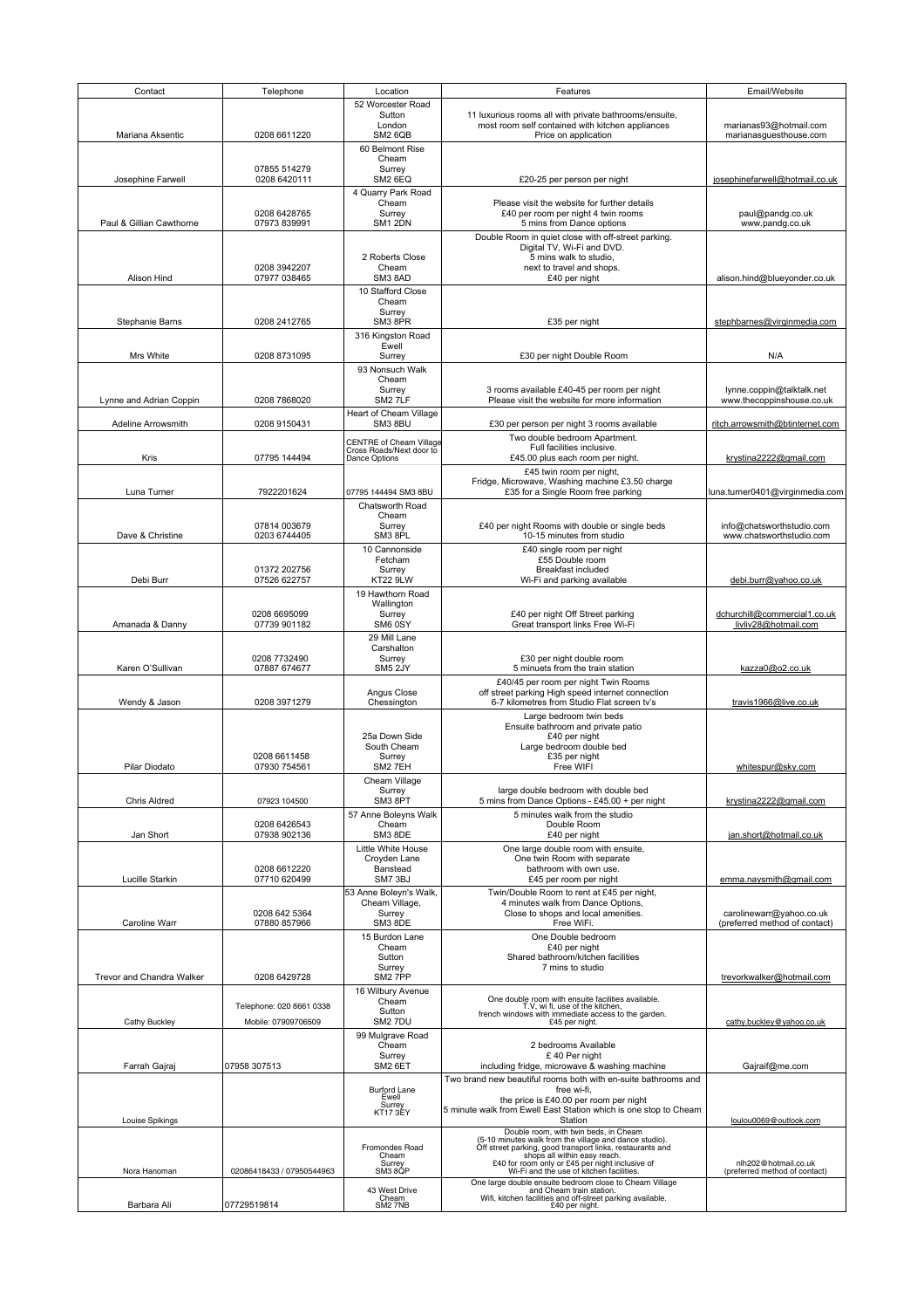| Contact                   | Telephone                     | Location                                  | Features                                                                                                                    | Email/Website                                             |
|---------------------------|-------------------------------|-------------------------------------------|-----------------------------------------------------------------------------------------------------------------------------|-----------------------------------------------------------|
|                           |                               | 52 Worcester Road                         |                                                                                                                             |                                                           |
|                           |                               | Sutton                                    | 11 luxurious rooms all with private bathrooms/ensuite,                                                                      |                                                           |
| Mariana Aksentic          |                               | London                                    | most room self contained with kitchen appliances                                                                            | marianas93@hotmail.com                                    |
|                           | 0208 6611220                  | SM2 6QB<br>60 Belmont Rise                | Price on application                                                                                                        | marianasguesthouse.com                                    |
|                           |                               | Cheam                                     |                                                                                                                             |                                                           |
|                           | 07855 514279                  | Surrey                                    |                                                                                                                             |                                                           |
| Josephine Farwell         | 0208 6420111                  | SM2 6EQ                                   | £20-25 per person per night                                                                                                 | josephinefarwell@hotmail.co.uk                            |
|                           |                               | 4 Quarry Park Road                        |                                                                                                                             |                                                           |
|                           | 0208 6428765                  | Cheam<br>Surrey                           | Please visit the website for further details<br>£40 per room per night 4 twin rooms                                         | paul@pandg.co.uk                                          |
| Paul & Gillian Cawthorne  | 07973 839991                  | SM1 2DN                                   | 5 mins from Dance options                                                                                                   | www.pandg.co.uk                                           |
|                           |                               |                                           | Double Room in quiet close with off-street parking.                                                                         |                                                           |
|                           |                               |                                           | Digital TV, Wi-Fi and DVD.                                                                                                  |                                                           |
|                           |                               | 2 Roberts Close                           | 5 mins walk to studio,                                                                                                      |                                                           |
| Alison Hind               | 0208 3942207<br>07977 038465  | Cheam<br>SM3 8AD                          | next to travel and shops.<br>£40 per night                                                                                  | alison.hind@blueyonder.co.uk                              |
|                           |                               | 10 Stafford Close                         |                                                                                                                             |                                                           |
|                           |                               | Cheam                                     |                                                                                                                             |                                                           |
|                           |                               | Surrey                                    |                                                                                                                             |                                                           |
| Stephanie Barns           | 0208 2412765                  | SM3 8PR                                   | £35 per night                                                                                                               | stephbarnes@virginmedia.com                               |
|                           |                               | 316 Kingston Road                         |                                                                                                                             |                                                           |
| Mrs White                 | 0208 8731095                  | Ewell<br>Surrey                           | £30 per night Double Room                                                                                                   | N/A                                                       |
|                           |                               |                                           |                                                                                                                             |                                                           |
|                           |                               | 93 Nonsuch Walk<br>Cheam                  |                                                                                                                             |                                                           |
|                           |                               | Surrey                                    | 3 rooms available £40-45 per room per night                                                                                 | lynne.coppin@talktalk.net                                 |
| Lynne and Adrian Coppin   | 0208 7868020                  | SM2 7LF                                   | Please visit the website for more information                                                                               | www.thecoppinshouse.co.uk                                 |
|                           |                               | Heart of Cheam Village                    |                                                                                                                             |                                                           |
| Adeline Arrowsmith        | 0208 9150431                  | SM3 8BU                                   | £30 per person per night 3 rooms available                                                                                  | ritch.arrowsmith@btinternet.com                           |
|                           |                               | <b>CENTRE of Cheam Village</b>            | Two double bedroom Apartment.                                                                                               |                                                           |
| Kris                      | 07795 144494                  | Cross Roads/Next door to<br>Dance Options | Full facilities inclusive.<br>£45.00 plus each room per night.                                                              | krystina2222@gmail.com                                    |
|                           |                               |                                           | £45 twin room per night,                                                                                                    |                                                           |
|                           |                               |                                           | Fridge, Microwave, Washing machine £3.50 charge                                                                             |                                                           |
| Luna Turner               | 7922201624                    | 07795 144494 SM3 8BU                      | £35 for a Single Room free parking                                                                                          | luna.turner0401@virginmedia.com                           |
|                           |                               | Chatsworth Road                           |                                                                                                                             |                                                           |
|                           |                               | Cheam                                     |                                                                                                                             |                                                           |
| Dave & Christine          | 07814 003679<br>0203 6744405  | Surrey<br>SM3 8PL                         | £40 per night Rooms with double or single beds<br>10-15 minutes from studio                                                 | info@chatsworthstudio.com<br>www.chatsworthstudio.com     |
|                           |                               |                                           |                                                                                                                             |                                                           |
|                           |                               | 10 Cannonside<br>Fetcham                  | £40 single room per night<br>£55 Double room                                                                                |                                                           |
|                           | 01372 202756                  | Surrey                                    | <b>Breakfast included</b>                                                                                                   |                                                           |
| Debi Burr                 | 07526 622757                  | KT22 9LW                                  | Wi-Fi and parking available                                                                                                 | debi.burr@yahoo.co.uk                                     |
|                           |                               | 19 Hawthorn Road                          |                                                                                                                             |                                                           |
|                           |                               | Wallington                                |                                                                                                                             |                                                           |
| Amanada & Danny           | 0208 6695099<br>07739 901182  | Surrey<br>SM6 0SY                         | £40 per night Off Street parking<br>Great transport links Free Wi-Fi                                                        | dchurchill@commercial1.co.uk<br>livliv28@hotmail.com      |
|                           |                               | 29 Mill Lane                              |                                                                                                                             |                                                           |
|                           |                               | Carshalton                                |                                                                                                                             |                                                           |
|                           | 0208 7732490                  | Surrey                                    | £30 per night double room                                                                                                   |                                                           |
| Karen O'Sullivan          | 07887 674677                  | SM5 2JY                                   | 5 minuets from the train station                                                                                            | kazza0@o2.co.uk                                           |
|                           |                               |                                           | £40/45 per room per night Twin Rooms                                                                                        |                                                           |
| Wendy & Jason             | 0208 3971279                  | Angus Close<br>Chessington                | off street parking High speed internet connection<br>6-7 kilometres from Studio Flat screen tv's                            | travis1966@live.co.uk                                     |
|                           |                               |                                           | Large bedroom twin beds                                                                                                     |                                                           |
|                           |                               |                                           | Ensuite bathroom and private patio                                                                                          |                                                           |
|                           |                               | 25a Down Side                             | £40 per night                                                                                                               |                                                           |
|                           |                               | South Cheam                               | Large bedroom double bed                                                                                                    |                                                           |
| Pilar Diodato             | 0208 6611458                  | Surrey<br>SM2 7EH                         | £35 per night<br>Free WIFI                                                                                                  |                                                           |
|                           | 07930 754561                  |                                           |                                                                                                                             | whitespur@sky.com                                         |
|                           |                               | Cheam Village<br>Surrey                   | large double bedroom with double bed                                                                                        |                                                           |
| <b>Chris Aldred</b>       | 07923 104500                  | SM3 8PT                                   | 5 mins from Dance Options - £45.00 + per night                                                                              | krystina2222@gmail.com                                    |
|                           |                               | 57 Anne Boleyns Walk                      | 5 minutes walk from the studio                                                                                              |                                                           |
|                           | 0208 6426543                  | Cheam                                     | Double Room                                                                                                                 |                                                           |
| Jan Short                 | 07938 902136                  | SM3 8DE                                   | £40 per night                                                                                                               | jan.short@hotmail.co.uk                                   |
|                           |                               | Little White House                        | One large double room with ensuite,                                                                                         |                                                           |
|                           | 0208 6612220                  | Croyden Lane<br>Banstead                  | One twin Room with separate<br>bathroom with own use.                                                                       |                                                           |
| Lucille Starkin           | 07710 620499                  | SM7 3BJ                                   | £45 per room per night                                                                                                      | emma.naysmith@gmail.com                                   |
|                           |                               | 53 Anne Boleyn's Walk,                    | Twin/Double Room to rent at £45 per night,                                                                                  |                                                           |
|                           |                               | Cheam Village.                            | 4 minutes walk from Dance Options,                                                                                          |                                                           |
| Caroline Warr             | 0208 642 5364<br>07880 857966 | Surrey<br>SM3 8DE                         | Close to shops and local amenities.<br>Free WiFi.                                                                           | carolinewarr@yahoo.co.uk<br>(preferred method of contact) |
|                           |                               |                                           | One Double bedroom                                                                                                          |                                                           |
|                           |                               | 15 Burdon Lane<br>Cheam                   | £40 per night                                                                                                               |                                                           |
|                           |                               | Sutton                                    | Shared bathroom/kitchen facilities                                                                                          |                                                           |
|                           |                               | Surrey                                    | 7 mins to studio                                                                                                            |                                                           |
| Trevor and Chandra Walker | 0208 6429728                  | SM2 7PP                                   |                                                                                                                             | trevorkwalker@hotmail.com                                 |
|                           |                               | 16 Wilbury Avenue                         | One double room with ensuite facilities available.                                                                          |                                                           |
|                           | Telephone: 020 8661 0338      | Cheam<br>Sutton                           | T.V, wi fi, use of the kitchen,                                                                                             |                                                           |
| <b>Cathy Buckley</b>      | Mobile: 07909706509           | SM2 7DU                                   | french windows with immediate access to the garden.<br>£45 per night.                                                       | cathy.buckley@yahoo.co.uk                                 |
|                           |                               | 99 Mulgrave Road                          |                                                                                                                             |                                                           |
|                           |                               | Cheam                                     | 2 bedrooms Available                                                                                                        |                                                           |
|                           |                               | Surrey                                    | £40 Per night                                                                                                               |                                                           |
| Farrah Gajraj             | 07958 307513                  | SM2 6ET                                   | including fridge, microwave & washing machine                                                                               | Gajraif@me.com                                            |
|                           |                               | <b>Burford Lane</b>                       | Two brand new beautiful rooms both with en-suite bathrooms and<br>free wi-fi,                                               |                                                           |
|                           |                               | Ewell                                     | the price is £40.00 per room per night                                                                                      |                                                           |
|                           |                               | Surrey<br><b>KT17 3EY</b>                 | 5 minute walk from Ewell East Station which is one stop to Cheam                                                            |                                                           |
| Louise Spikings           |                               |                                           | Station                                                                                                                     | loulou0069@outlook.com                                    |
|                           |                               |                                           | Double room, with twin beds, in Cheam                                                                                       |                                                           |
|                           |                               | Fromondes Road                            | (5-10 minutes walk from the village and dance studio).<br>Off street parking, good transport links, restaurants and         |                                                           |
|                           |                               | Cheam<br>Surrey<br>SM3 8QP                | shops all within easy reach.<br>£40 for room only or £45 per night inclusive of<br>Wi-Fi and the use of kitchen facilities. | nlh202@hotmail.co.uk                                      |
| Nora Hanoman              | 02086418433 / 07950544963     |                                           |                                                                                                                             | (preferred method of contact)                             |
|                           |                               | 43 West Drive                             | One large double ensuite bedroom close to Cheam Village<br>and Cheam train station.                                         |                                                           |
|                           | 07729519814                   | Cheam                                     | Wifi, kitchen facilities and off-street parking available.                                                                  |                                                           |
| Barbara Ali               |                               | SM2 7NB                                   | £40 per night.                                                                                                              |                                                           |